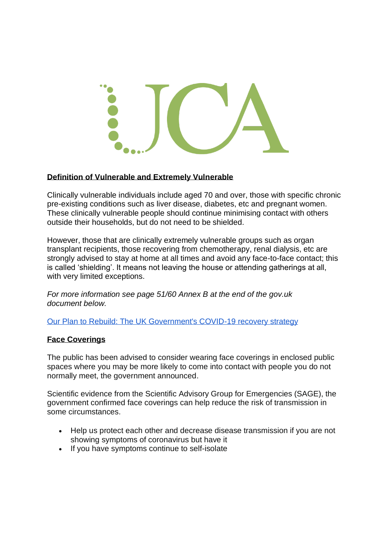

## **Definition of Vulnerable and Extremely Vulnerable**

Clinically vulnerable individuals include aged 70 and over, those with specific chronic pre-existing conditions such as liver disease, diabetes, etc and pregnant women. These clinically vulnerable people should continue minimising contact with others outside their households, but do not need to be shielded.

However, those that are clinically extremely vulnerable groups such as organ transplant recipients, those recovering from chemotherapy, renal dialysis, etc are strongly advised to stay at home at all times and avoid any face-to-face contact; this is called 'shielding'. It means not leaving the house or attending gatherings at all, with very limited exceptions.

*For more information see page 51/60 Annex B at the end of the gov.uk document below.*

[Our Plan to Rebuild: The UK Government's COVID-19 recovery strategy](https://assets.publishing.service.gov.uk/government/uploads/system/uploads/attachment_data/file/884760/Our_plan_to_rebuild_The_UK_Government_s_COVID-19_recovery_strategy.pdf)

## **Face Coverings**

The public has been advised to consider wearing face coverings in enclosed public spaces where you may be more likely to come into contact with people you do not normally meet, the government announced.

Scientific evidence from the Scientific Advisory Group for Emergencies (SAGE), the government confirmed face coverings can help reduce the risk of transmission in some circumstances.

- Help us protect each other and decrease disease transmission if you are not showing symptoms of coronavirus but have it
- If you have symptoms continue to self-isolate